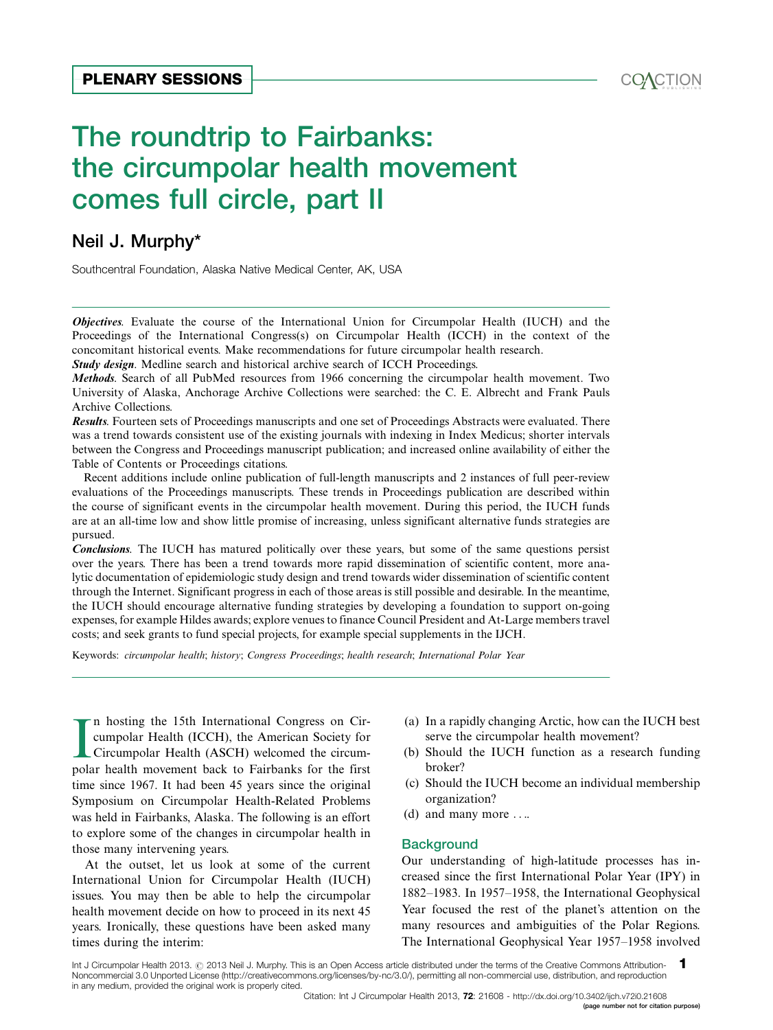# The roundtrip to Fairbanks: the circumpolar health movement comes full circle, part II PLENARY SESSIONS<br>
The roundtrip to Fairbanks:<br>
the circumpolar health movement<br>
comes full circle, part II

# Neil J. Murphy[\\*](#page-7-0)

Southcentral Foundation, Alaska Native Medical Center, AK, USA

**Objectives.** Evaluate the course of the International Union for Circumpolar Health (IUCH) and the Proceedings of the International Congress(s) on Circumpolar Health (ICCH) in the context of the concomitant historical events. Make recommendations for future circumpolar health research.

Study design. Medline search and historical archive search of ICCH Proceedings.

Results. Fourteen sets of Proceedings manuscripts and one set of Proceedings Abstracts were evaluated. There was a trend towards consistent use of the existing journals with indexing in Index Medicus; shorter intervals between the Congress and Proceedings manuscript publication; and increased online availability of either the Table of Contents or Proceedings citations.

Recent additions include online publication of full-length manuscripts and 2 instances of full peer-review evaluations of the Proceedings manuscripts. These trends in Proceedings publication are described within the course of significant events in the circumpolar health movement. During this period, the IUCH funds are at an all-time low and show little promise of increasing, unless significant alternative funds strategies are pursued.

Conclusions. The IUCH has matured politically over these years, but some of the same questions persist over the years. There has been a trend towards more rapid dissemination of scientific content, more analytic documentation of epidemiologic study design and trend towards wider dissemination of scientific content through the Internet. Significant progress in each of those areas is still possible and desirable. In the meantime, the IUCH should encourage alternative funding strategies by developing a foundation to support on-going expenses, for example Hildes awards; explore venues to finance Council President and At-Large members travel costs; and seek grants to fund special projects, for example special supplements in the IJCH.

Keywords: circumpolar health; history; Congress Proceedings; health research; International Polar Year

In hosting the 15th International Congress on Circumpolar Health (ICCH), the American Society for Circumpolar Health (ASCH) welcomed the circumpolar health movement back to Fairbanks for the first n hosting the 15th International Congress on Circumpolar Health (ICCH), the American Society for Circumpolar Health (ASCH) welcomed the circumtime since 1967. It had been 45 years since the original Symposium on Circumpolar Health-Related Problems was held in Fairbanks, Alaska. The following is an effort to explore some of the changes in circumpolar health in those many intervening years.

At the outset, let us look at some of the current International Union for Circumpolar Health (IUCH) issues. You may then be able to help the circumpolar health movement decide on how to proceed in its next 45 years. Ironically, these questions have been asked many times during the interim:

- (a) In a rapidly changing Arctic, how can the IUCH best serve the circumpolar health movement?
- (b) Should the IUCH function as a research funding broker?
- (c) Should the IUCH become an individual membership organization?
- (d) and many more ....

# **Background**

Our understanding of high-latitude processes has increased since the first International Polar Year (IPY) in 1882-1983. In 1957-1958, the International Geophysical Year focused the rest of the planet's attention on the many resources and ambiguities of the Polar Regions. The International Geophysical Year 1957-1958 involved

Methods. Search of all PubMed resources from 1966 concerning the circumpolar health movement. Two University of Alaska, Anchorage Archive Collections were searched: the C. E. Albrecht and Frank Pauls Archive Collections.

Int J Circumpolar Health 2013. @ 2013 Neil J. Murphy. This is an Open Access article distributed under the terms of the Creative Commons Attribution-Noncommercial 3.0 Unported License (http://creativecommons.org/licenses/by-nc/3.0/), permitting all non-commercial use, distribution, and reproduction in any medium, provided the original work is properly cited. 1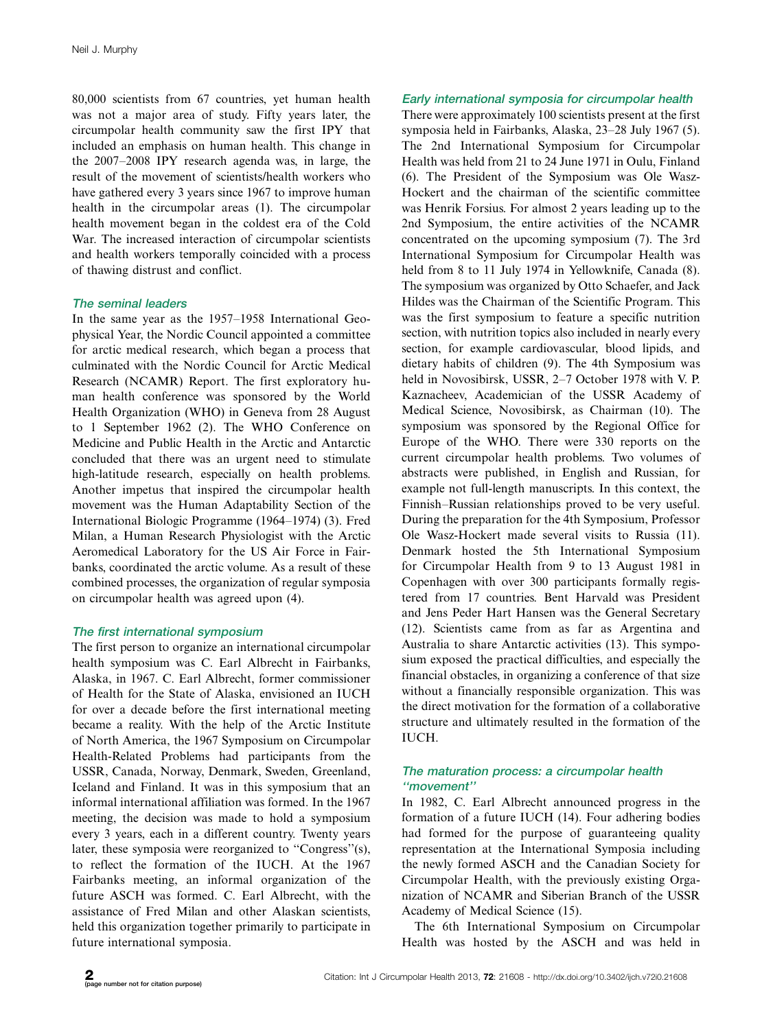80,000 scientists from 67 countries, yet human health was not a major area of study. Fifty years later, the circumpolar health community saw the first IPY that included an emphasis on human health. This change in the 2007-2008 IPY research agenda was, in large, the result of the movement of scientists/health workers who have gathered every 3 years since 1967 to improve human health in the circumpolar areas (1). The circumpolar health movement began in the coldest era of the Cold War. The increased interaction of circumpolar scientists and health workers temporally coincided with a process of thawing distrust and conflict.

# The seminal leaders

In the same year as the 1957-1958 International Geophysical Year, the Nordic Council appointed a committee for arctic medical research, which began a process that culminated with the Nordic Council for Arctic Medical Research (NCAMR) Report. The first exploratory human health conference was sponsored by the World Health Organization (WHO) in Geneva from 28 August to 1 September 1962 (2). The WHO Conference on Medicine and Public Health in the Arctic and Antarctic concluded that there was an urgent need to stimulate high-latitude research, especially on health problems. Another impetus that inspired the circumpolar health movement was the Human Adaptability Section of the International Biologic Programme (1964-1974) (3). Fred Milan, a Human Research Physiologist with the Arctic Aeromedical Laboratory for the US Air Force in Fairbanks, coordinated the arctic volume. As a result of these combined processes, the organization of regular symposia on circumpolar health was agreed upon (4).

### The first international symposium

The first person to organize an international circumpolar health symposium was C. Earl Albrecht in Fairbanks, Alaska, in 1967. C. Earl Albrecht, former commissioner of Health for the State of Alaska, envisioned an IUCH for over a decade before the first international meeting became a reality. With the help of the Arctic Institute of North America, the 1967 Symposium on Circumpolar Health-Related Problems had participants from the USSR, Canada, Norway, Denmark, Sweden, Greenland, Iceland and Finland. It was in this symposium that an informal international affiliation was formed. In the 1967 meeting, the decision was made to hold a symposium every 3 years, each in a different country. Twenty years later, these symposia were reorganized to "Congress"(s), to reflect the formation of the IUCH. At the 1967 Fairbanks meeting, an informal organization of the future ASCH was formed. C. Earl Albrecht, with the assistance of Fred Milan and other Alaskan scientists, held this organization together primarily to participate in future international symposia.

### Early international symposia for circumpolar health

There were approximately 100 scientists present at the first symposia held in Fairbanks, Alaska, 23-28 July 1967 (5). The 2nd International Symposium for Circumpolar Health was held from 21 to 24 June 1971 in Oulu, Finland (6). The President of the Symposium was Ole Wasz-Hockert and the chairman of the scientific committee was Henrik Forsius. For almost 2 years leading up to the 2nd Symposium, the entire activities of the NCAMR concentrated on the upcoming symposium (7). The 3rd International Symposium for Circumpolar Health was held from 8 to 11 July 1974 in Yellowknife, Canada (8). The symposium was organized by Otto Schaefer, and Jack Hildes was the Chairman of the Scientific Program. This was the first symposium to feature a specific nutrition section, with nutrition topics also included in nearly every section, for example cardiovascular, blood lipids, and dietary habits of children (9). The 4th Symposium was held in Novosibirsk, USSR, 2-7 October 1978 with V. P. Kaznacheev, Academician of the USSR Academy of Medical Science, Novosibirsk, as Chairman (10). The symposium was sponsored by the Regional Office for Europe of the WHO. There were 330 reports on the current circumpolar health problems. Two volumes of abstracts were published, in English and Russian, for example not full-length manuscripts. In this context, the Finnish-Russian relationships proved to be very useful. During the preparation for the 4th Symposium, Professor Ole Wasz-Hockert made several visits to Russia (11). Denmark hosted the 5th International Symposium for Circumpolar Health from 9 to 13 August 1981 in Copenhagen with over 300 participants formally registered from 17 countries. Bent Harvald was President and Jens Peder Hart Hansen was the General Secretary (12). Scientists came from as far as Argentina and Australia to share Antarctic activities (13). This symposium exposed the practical difficulties, and especially the financial obstacles, in organizing a conference of that size without a financially responsible organization. This was the direct motivation for the formation of a collaborative structure and ultimately resulted in the formation of the IUCH.

# The maturation process: <sup>a</sup> circumpolar health ''movement''

In 1982, C. Earl Albrecht announced progress in the formation of a future IUCH (14). Four adhering bodies had formed for the purpose of guaranteeing quality representation at the International Symposia including the newly formed ASCH and the Canadian Society for Circumpolar Health, with the previously existing Organization of NCAMR and Siberian Branch of the USSR Academy of Medical Science (15).

The 6th International Symposium on Circumpolar Health was hosted by the ASCH and was held in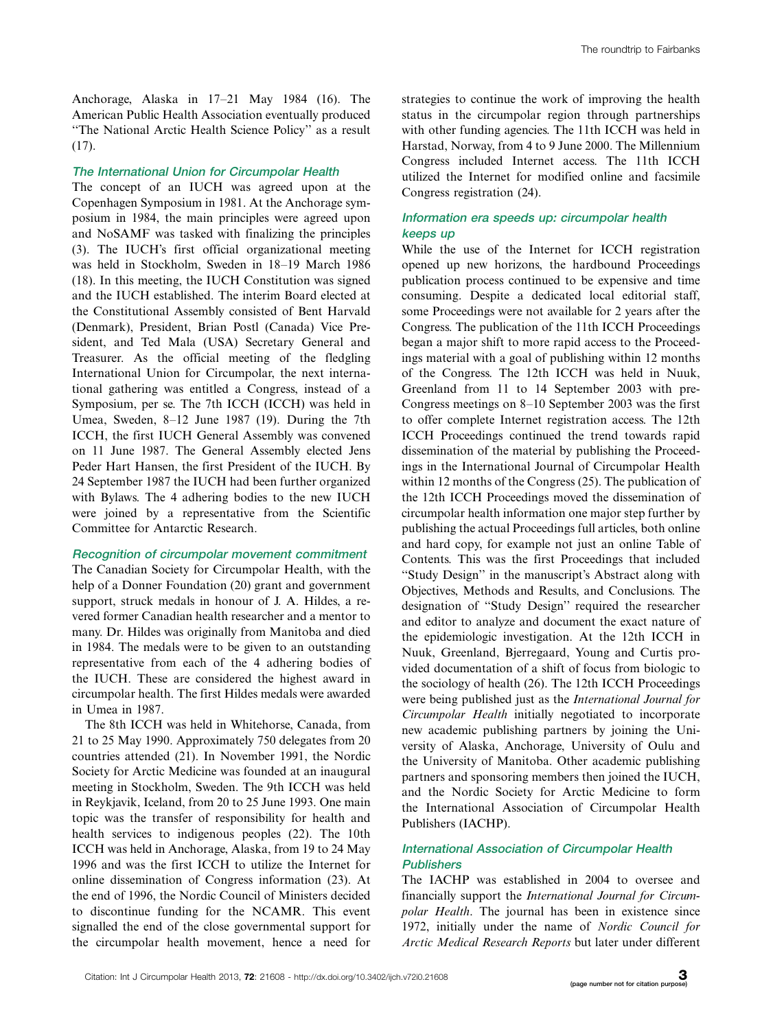Anchorage, Alaska in 17-21 May 1984 (16). The American Public Health Association eventually produced ''The National Arctic Health Science Policy'' as a result (17).

# The International Union for Circumpolar Health

The concept of an IUCH was agreed upon at the Copenhagen Symposium in 1981. At the Anchorage symposium in 1984, the main principles were agreed upon and NoSAMF was tasked with finalizing the principles (3). The IUCH's first official organizational meeting was held in Stockholm, Sweden in 18-19 March 1986 (18). In this meeting, the IUCH Constitution was signed and the IUCH established. The interim Board elected at the Constitutional Assembly consisted of Bent Harvald (Denmark), President, Brian Postl (Canada) Vice President, and Ted Mala (USA) Secretary General and Treasurer. As the official meeting of the fledgling International Union for Circumpolar, the next international gathering was entitled a Congress, instead of a Symposium, per se. The 7th ICCH (ICCH) was held in Umea, Sweden, 8-12 June 1987 (19). During the 7th ICCH, the first IUCH General Assembly was convened on 11 June 1987. The General Assembly elected Jens Peder Hart Hansen, the first President of the IUCH. By 24 September 1987 the IUCH had been further organized with Bylaws. The 4 adhering bodies to the new IUCH were joined by a representative from the Scientific Committee for Antarctic Research.

### Recognition of circumpolar movement commitment

The Canadian Society for Circumpolar Health, with the help of a Donner Foundation (20) grant and government support, struck medals in honour of J. A. Hildes, a revered former Canadian health researcher and a mentor to many. Dr. Hildes was originally from Manitoba and died in 1984. The medals were to be given to an outstanding representative from each of the 4 adhering bodies of the IUCH. These are considered the highest award in circumpolar health. The first Hildes medals were awarded in Umea in 1987.

The 8th ICCH was held in Whitehorse, Canada, from 21 to 25 May 1990. Approximately 750 delegates from 20 countries attended (21). In November 1991, the Nordic Society for Arctic Medicine was founded at an inaugural meeting in Stockholm, Sweden. The 9th ICCH was held in Reykjavik, Iceland, from 20 to 25 June 1993. One main topic was the transfer of responsibility for health and health services to indigenous peoples (22). The 10th ICCH was held in Anchorage, Alaska, from 19 to 24 May 1996 and was the first ICCH to utilize the Internet for online dissemination of Congress information (23). At the end of 1996, the Nordic Council of Ministers decided to discontinue funding for the NCAMR. This event signalled the end of the close governmental support for the circumpolar health movement, hence a need for strategies to continue the work of improving the health status in the circumpolar region through partnerships with other funding agencies. The 11th ICCH was held in Harstad, Norway, from 4 to 9 June 2000. The Millennium Congress included Internet access. The 11th ICCH utilized the Internet for modified online and facsimile Congress registration (24).

# Information era speeds up: circumpolar health keeps up

While the use of the Internet for ICCH registration opened up new horizons, the hardbound Proceedings publication process continued to be expensive and time consuming. Despite a dedicated local editorial staff, some Proceedings were not available for 2 years after the Congress. The publication of the 11th ICCH Proceedings began a major shift to more rapid access to the Proceedings material with a goal of publishing within 12 months of the Congress. The 12th ICCH was held in Nuuk, Greenland from 11 to 14 September 2003 with pre-Congress meetings on 8-10 September 2003 was the first to offer complete Internet registration access. The 12th ICCH Proceedings continued the trend towards rapid dissemination of the material by publishing the Proceedings in the International Journal of Circumpolar Health within 12 months of the Congress (25). The publication of the 12th ICCH Proceedings moved the dissemination of circumpolar health information one major step further by publishing the actual Proceedings full articles, both online and hard copy, for example not just an online Table of Contents. This was the first Proceedings that included "Study Design" in the manuscript's Abstract along with Objectives, Methods and Results, and Conclusions. The designation of ''Study Design'' required the researcher and editor to analyze and document the exact nature of the epidemiologic investigation. At the 12th ICCH in Nuuk, Greenland, Bjerregaard, Young and Curtis provided documentation of a shift of focus from biologic to the sociology of health (26). The 12th ICCH Proceedings were being published just as the International Journal for Circumpolar Health initially negotiated to incorporate new academic publishing partners by joining the University of Alaska, Anchorage, University of Oulu and the University of Manitoba. Other academic publishing partners and sponsoring members then joined the IUCH, and the Nordic Society for Arctic Medicine to form the International Association of Circumpolar Health Publishers (IACHP).

# International Association of Circumpolar Health **Publishers**

The IACHP was established in 2004 to oversee and financially support the International Journal for Circumpolar Health. The journal has been in existence since 1972, initially under the name of Nordic Council for Arctic Medical Research Reports but later under different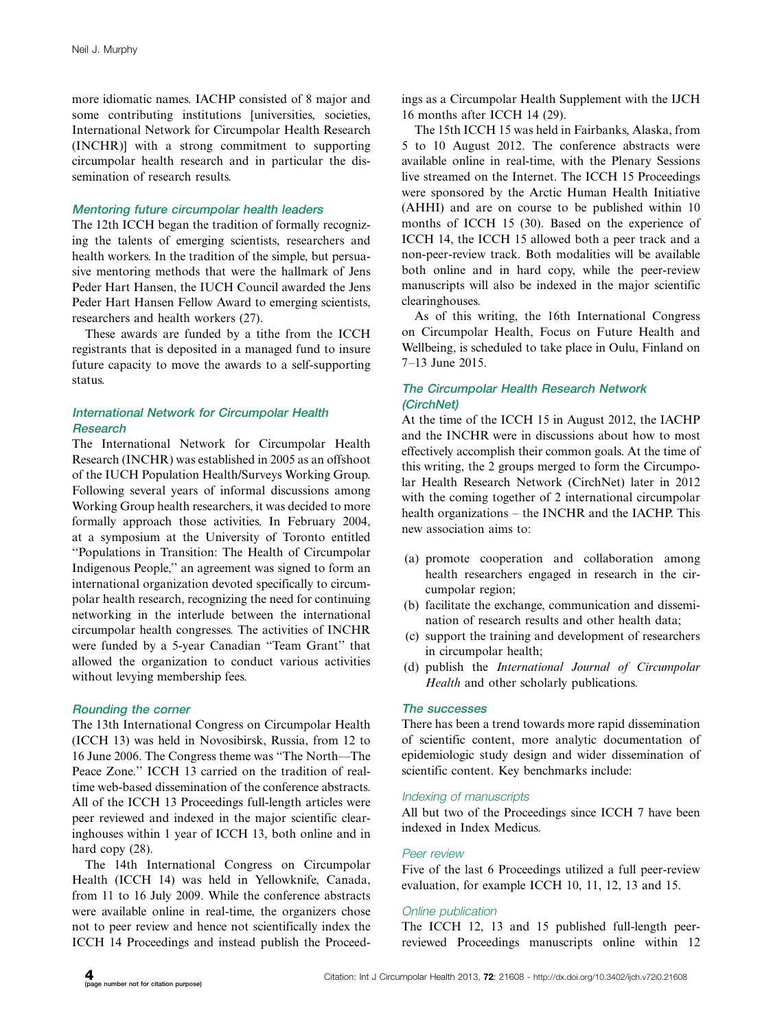more idiomatic names. IACHP consisted of 8 major and some contributing institutions [universities, societies, International Network for Circumpolar Health Research (INCHR)] with a strong commitment to supporting circumpolar health research and in particular the dissemination of research results.

# Mentoring future circumpolar health leaders

The 12th ICCH began the tradition of formally recognizing the talents of emerging scientists, researchers and health workers. In the tradition of the simple, but persuasive mentoring methods that were the hallmark of Jens Peder Hart Hansen, the IUCH Council awarded the Jens Peder Hart Hansen Fellow Award to emerging scientists, researchers and health workers (27).

These awards are funded by a tithe from the ICCH registrants that is deposited in a managed fund to insure future capacity to move the awards to a self-supporting status.

# International Network for Circumpolar Health Research

The International Network for Circumpolar Health Research (INCHR) was established in 2005 as an offshoot of the IUCH Population Health/Surveys Working Group. Following several years of informal discussions among Working Group health researchers, it was decided to more formally approach those activities. In February 2004, at a symposium at the University of Toronto entitled ''Populations in Transition: The Health of Circumpolar Indigenous People,'' an agreement was signed to form an international organization devoted specifically to circumpolar health research, recognizing the need for continuing networking in the interlude between the international circumpolar health congresses. The activities of INCHR were funded by a 5-year Canadian ''Team Grant'' that allowed the organization to conduct various activities without levying membership fees.

### Rounding the corner

The 13th International Congress on Circumpolar Health (ICCH 13) was held in Novosibirsk, Russia, from 12 to 16 June 2006. The Congress theme was "The North—The Peace Zone.'' ICCH 13 carried on the tradition of realtime web-based dissemination of the conference abstracts. All of the ICCH 13 Proceedings full-length articles were peer reviewed and indexed in the major scientific clearinghouses within 1 year of ICCH 13, both online and in hard copy (28).

The 14th International Congress on Circumpolar Health (ICCH 14) was held in Yellowknife, Canada, from 11 to 16 July 2009. While the conference abstracts were available online in real-time, the organizers chose not to peer review and hence not scientifically index the ICCH 14 Proceedings and instead publish the Proceedings as a Circumpolar Health Supplement with the IJCH 16 months after ICCH 14 (29).

The 15th ICCH 15 was held in Fairbanks, Alaska, from 5 to 10 August 2012. The conference abstracts were available online in real-time, with the Plenary Sessions live streamed on the Internet. The ICCH 15 Proceedings were sponsored by the Arctic Human Health Initiative (AHHI) and are on course to be published within 10 months of ICCH 15 (30). Based on the experience of ICCH 14, the ICCH 15 allowed both a peer track and a non-peer-review track. Both modalities will be available both online and in hard copy, while the peer-review manuscripts will also be indexed in the major scientific clearinghouses.

As of this writing, the 16th International Congress on Circumpolar Health, Focus on Future Health and Wellbeing, is scheduled to take place in Oulu, Finland on 7-13 June 2015.

# The Circumpolar Health Research Network (CirchNet)

At the time of the ICCH 15 in August 2012, the IACHP and the INCHR were in discussions about how to most effectively accomplish their common goals. At the time of this writing, the 2 groups merged to form the Circumpolar Health Research Network (CirchNet) later in 2012 with the coming together of 2 international circumpolar health organizations – the INCHR and the IACHP. This new association aims to:

- (a) promote cooperation and collaboration among health researchers engaged in research in the circumpolar region;
- (b) facilitate the exchange, communication and dissemination of research results and other health data;
- (c) support the training and development of researchers in circumpolar health;
- (d) publish the International Journal of Circumpolar Health and other scholarly publications.

# The successes

There has been a trend towards more rapid dissemination of scientific content, more analytic documentation of epidemiologic study design and wider dissemination of scientific content. Key benchmarks include:

### Indexing of manuscripts

All but two of the Proceedings since ICCH 7 have been indexed in Index Medicus.

### Peer review

Five of the last 6 Proceedings utilized a full peer-review evaluation, for example ICCH 10, 11, 12, 13 and 15.

### Online publication

The ICCH 12, 13 and 15 published full-length peerreviewed Proceedings manuscripts online within 12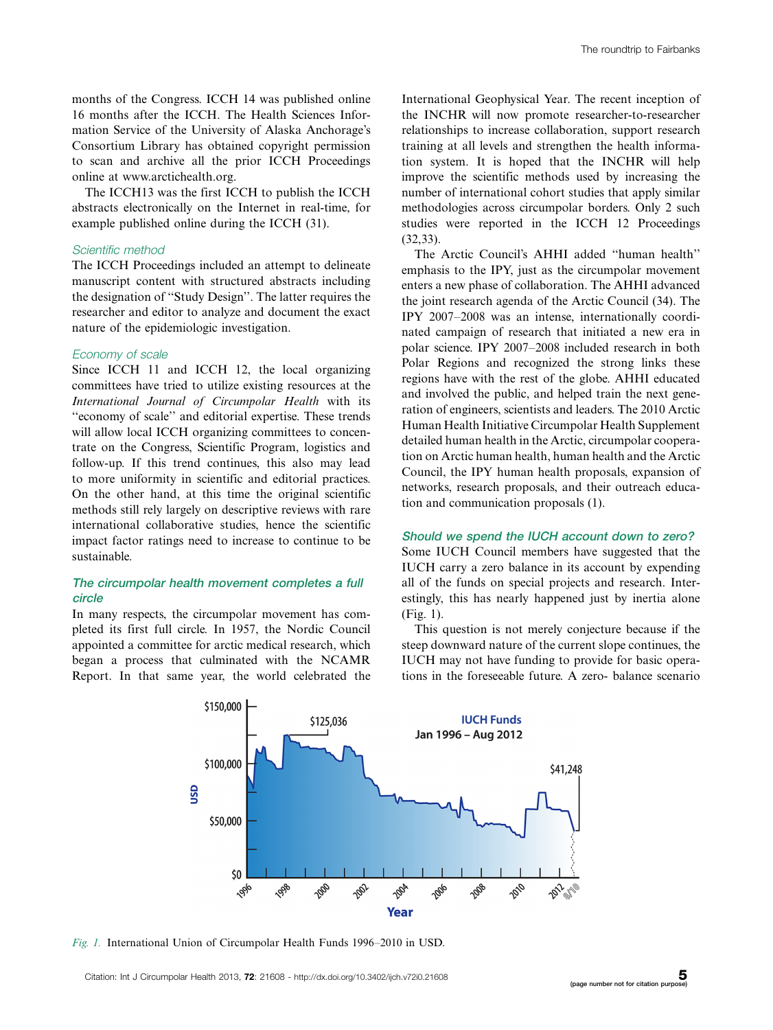months of the Congress. ICCH 14 was published online 16 months after the ICCH. The Health Sciences Information Service of the University of Alaska Anchorage's Consortium Library has obtained copyright permission to scan and archive all the prior ICCH Proceedings online at [www.arctichealth.org.](www.arctichealth.org)

The ICCH13 was the first ICCH to publish the ICCH abstracts electronically on the Internet in real-time, for example published online during the ICCH (31).

### Scientific method

The ICCH Proceedings included an attempt to delineate manuscript content with structured abstracts including the designation of ''Study Design''. The latter requires the researcher and editor to analyze and document the exact nature of the epidemiologic investigation.

### Economy of scale

Since ICCH 11 and ICCH 12, the local organizing committees have tried to utilize existing resources at the International Journal of Circumpolar Health with its ''economy of scale'' and editorial expertise. These trends will allow local ICCH organizing committees to concentrate on the Congress, Scientific Program, logistics and follow-up. If this trend continues, this also may lead to more uniformity in scientific and editorial practices. On the other hand, at this time the original scientific methods still rely largely on descriptive reviews with rare international collaborative studies, hence the scientific impact factor ratings need to increase to continue to be sustainable.

# The circumpolar health movement completes <sup>a</sup> full circle

In many respects, the circumpolar movement has completed its first full circle. In 1957, the Nordic Council appointed a committee for arctic medical research, which began a process that culminated with the NCAMR Report. In that same year, the world celebrated the International Geophysical Year. The recent inception of the INCHR will now promote researcher-to-researcher relationships to increase collaboration, support research training at all levels and strengthen the health information system. It is hoped that the INCHR will help improve the scientific methods used by increasing the number of international cohort studies that apply similar methodologies across circumpolar borders. Only 2 such studies were reported in the ICCH 12 Proceedings (32,33).

The Arctic Council's AHHI added ''human health'' emphasis to the IPY, just as the circumpolar movement enters a new phase of collaboration. The AHHI advanced the joint research agenda of the Arctic Council (34). The IPY 2007-2008 was an intense, internationally coordinated campaign of research that initiated a new era in polar science. IPY 2007-2008 included research in both Polar Regions and recognized the strong links these regions have with the rest of the globe. AHHI educated and involved the public, and helped train the next generation of engineers, scientists and leaders. The 2010 Arctic Human Health Initiative Circumpolar Health Supplement detailed human health in the Arctic, circumpolar cooperation on Arctic human health, human health and the Arctic Council, the IPY human health proposals, expansion of networks, research proposals, and their outreach education and communication proposals (1).

### Should we spend the IUCH account down to zero?

Some IUCH Council members have suggested that the IUCH carry a zero balance in its account by expending all of the funds on special projects and research. Interestingly, this has nearly happened just by inertia alone (Fig. 1).

This question is not merely conjecture because if the steep downward nature of the current slope continues, the IUCH may not have funding to provide for basic operations in the foreseeable future. A zero- balance scenario



Fig. 1. International Union of Circumpolar Health Funds 1996-2010 in USD.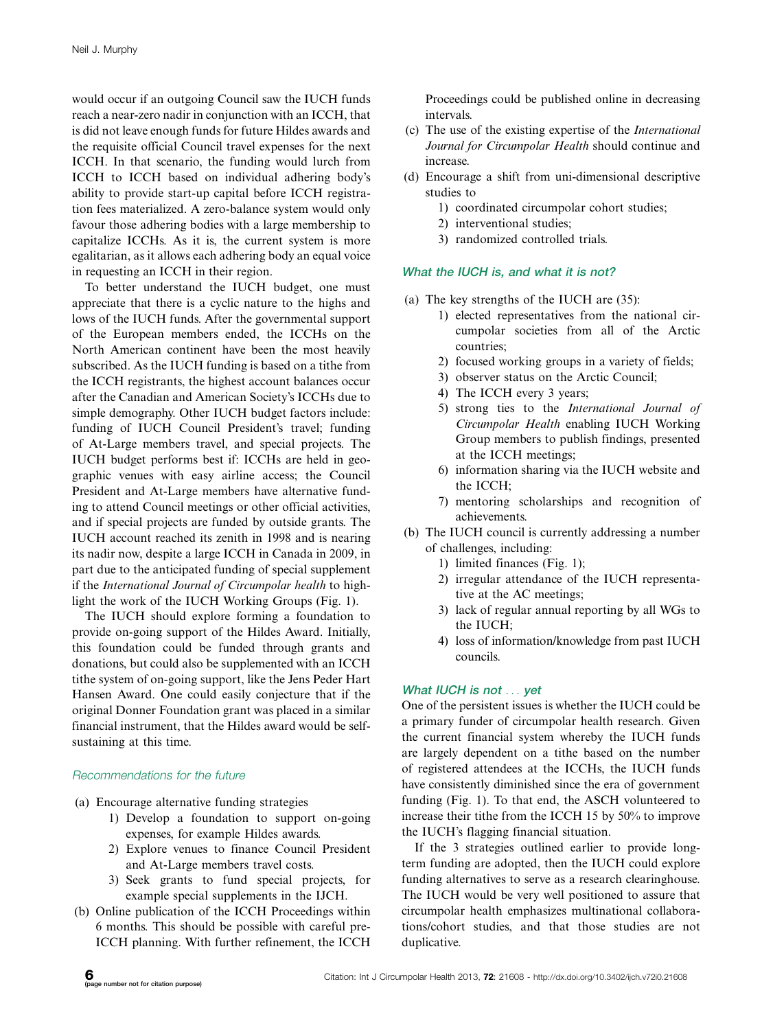would occur if an outgoing Council saw the IUCH funds reach a near-zero nadir in conjunction with an ICCH, that is did not leave enough funds for future Hildes awards and the requisite official Council travel expenses for the next ICCH. In that scenario, the funding would lurch from ICCH to ICCH based on individual adhering body's ability to provide start-up capital before ICCH registration fees materialized. A zero-balance system would only favour those adhering bodies with a large membership to capitalize ICCHs. As it is, the current system is more egalitarian, as it allows each adhering body an equal voice in requesting an ICCH in their region.

To better understand the IUCH budget, one must appreciate that there is a cyclic nature to the highs and lows of the IUCH funds. After the governmental support of the European members ended, the ICCHs on the North American continent have been the most heavily subscribed. As the IUCH funding is based on a tithe from the ICCH registrants, the highest account balances occur after the Canadian and American Society's ICCHs due to simple demography. Other IUCH budget factors include: funding of IUCH Council President's travel; funding of At-Large members travel, and special projects. The IUCH budget performs best if: ICCHs are held in geographic venues with easy airline access; the Council President and At-Large members have alternative funding to attend Council meetings or other official activities, and if special projects are funded by outside grants. The IUCH account reached its zenith in 1998 and is nearing its nadir now, despite a large ICCH in Canada in 2009, in part due to the anticipated funding of special supplement if the International Journal of Circumpolar health to highlight the work of the IUCH Working Groups (Fig. 1).

The IUCH should explore forming a foundation to provide on-going support of the Hildes Award. Initially, this foundation could be funded through grants and donations, but could also be supplemented with an ICCH tithe system of on-going support, like the Jens Peder Hart Hansen Award. One could easily conjecture that if the original Donner Foundation grant was placed in a similar financial instrument, that the Hildes award would be selfsustaining at this time.

# Recommendations for the future

- (a) Encourage alternative funding strategies
	- 1) Develop a foundation to support on-going expenses, for example Hildes awards.
	- 2) Explore venues to finance Council President and At-Large members travel costs.
	- 3) Seek grants to fund special projects, for example special supplements in the IJCH.
- (b) Online publication of the ICCH Proceedings within 6 months. This should be possible with careful pre-ICCH planning. With further refinement, the ICCH

Proceedings could be published online in decreasing intervals.

- (c) The use of the existing expertise of the International Journal for Circumpolar Health should continue and increase.
- (d) Encourage a shift from uni-dimensional descriptive studies to
	- 1) coordinated circumpolar cohort studies;
	- 2) interventional studies;
	- 3) randomized controlled trials.

# What the IUCH is, and what it is not?

- (a) The key strengths of the IUCH are (35):
	- 1) elected representatives from the national circumpolar societies from all of the Arctic countries;
	- 2) focused working groups in a variety of fields;
	- 3) observer status on the Arctic Council;
	- 4) The ICCH every 3 years;
	- 5) strong ties to the International Journal of Circumpolar Health enabling IUCH Working Group members to publish findings, presented at the ICCH meetings;
	- 6) information sharing via the IUCH website and the ICCH;
	- 7) mentoring scholarships and recognition of achievements.
- (b) The IUCH council is currently addressing a number of challenges, including:
	- 1) limited finances (Fig. 1);
	- 2) irregular attendance of the IUCH representative at the AC meetings;
	- 3) lack of regular annual reporting by all WGs to the IUCH;
	- 4) loss of information/knowledge from past IUCH councils.

# What IUCH is not ... yet

One of the persistent issues is whether the IUCH could be a primary funder of circumpolar health research. Given the current financial system whereby the IUCH funds are largely dependent on a tithe based on the number of registered attendees at the ICCHs, the IUCH funds have consistently diminished since the era of government funding (Fig. 1). To that end, the ASCH volunteered to increase their tithe from the ICCH 15 by 50% to improve the IUCH's flagging financial situation.

If the 3 strategies outlined earlier to provide longterm funding are adopted, then the IUCH could explore funding alternatives to serve as a research clearinghouse. The IUCH would be very well positioned to assure that circumpolar health emphasizes multinational collaborations/cohort studies, and that those studies are not duplicative.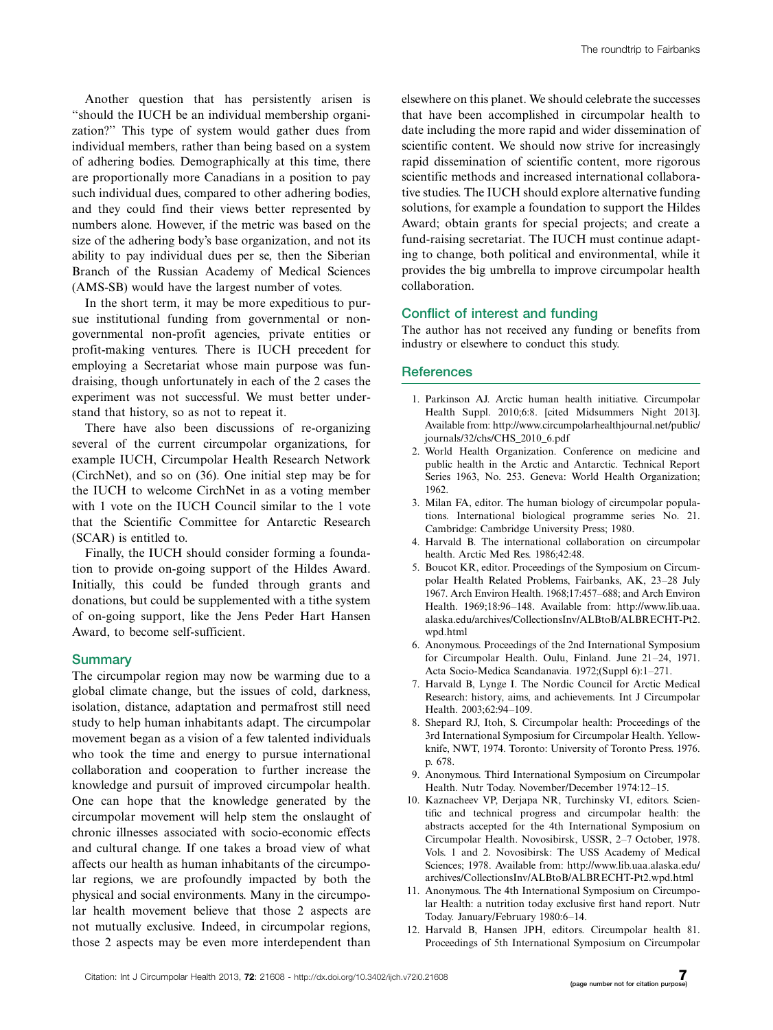Another question that has persistently arisen is ''should the IUCH be an individual membership organization?'' This type of system would gather dues from individual members, rather than being based on a system of adhering bodies. Demographically at this time, there are proportionally more Canadians in a position to pay such individual dues, compared to other adhering bodies, and they could find their views better represented by numbers alone. However, if the metric was based on the size of the adhering body's base organization, and not its ability to pay individual dues per se, then the Siberian Branch of the Russian Academy of Medical Sciences (AMS-SB) would have the largest number of votes.

In the short term, it may be more expeditious to pursue institutional funding from governmental or nongovernmental non-profit agencies, private entities or profit-making ventures. There is IUCH precedent for employing a Secretariat whose main purpose was fundraising, though unfortunately in each of the 2 cases the experiment was not successful. We must better understand that history, so as not to repeat it.

There have also been discussions of re-organizing several of the current circumpolar organizations, for example IUCH, Circumpolar Health Research Network (CirchNet), and so on (36). One initial step may be for the IUCH to welcome CirchNet in as a voting member with 1 vote on the IUCH Council similar to the 1 vote that the Scientific Committee for Antarctic Research (SCAR) is entitled to.

Finally, the IUCH should consider forming a foundation to provide on-going support of the Hildes Award. Initially, this could be funded through grants and donations, but could be supplemented with a tithe system of on-going support, like the Jens Peder Hart Hansen Award, to become self-sufficient.

# **Summary**

The circumpolar region may now be warming due to a global climate change, but the issues of cold, darkness, isolation, distance, adaptation and permafrost still need study to help human inhabitants adapt. The circumpolar movement began as a vision of a few talented individuals who took the time and energy to pursue international collaboration and cooperation to further increase the knowledge and pursuit of improved circumpolar health. One can hope that the knowledge generated by the circumpolar movement will help stem the onslaught of chronic illnesses associated with socio-economic effects and cultural change. If one takes a broad view of what affects our health as human inhabitants of the circumpolar regions, we are profoundly impacted by both the physical and social environments. Many in the circumpolar health movement believe that those 2 aspects are not mutually exclusive. Indeed, in circumpolar regions, those 2 aspects may be even more interdependent than

elsewhere on this planet. We should celebrate the successes that have been accomplished in circumpolar health to date including the more rapid and wider dissemination of scientific content. We should now strive for increasingly rapid dissemination of scientific content, more rigorous scientific methods and increased international collaborative studies. The IUCH should explore alternative funding solutions, for example a foundation to support the Hildes Award; obtain grants for special projects; and create a fund-raising secretariat. The IUCH must continue adapting to change, both political and environmental, while it provides the big umbrella to improve circumpolar health collaboration.

# Conflict of interest and funding

The author has not received any funding or benefits from industry or elsewhere to conduct this study.

### **References**

- 1. Parkinson AJ. Arctic human health initiative. Circumpolar Health Suppl. 2010;6:8. [cited Midsummers Night 2013]. Available from: [http://www.circumpolarhealthjournal.net/public/](http://www.circumpolarhealthjournal.net/public/journals/32/chs/CHS_2010_6.pdf) [journals/32/chs/CHS\\_2010\\_6.pdf](http://www.circumpolarhealthjournal.net/public/journals/32/chs/CHS_2010_6.pdf)
- 2. World Health Organization. Conference on medicine and public health in the Arctic and Antarctic. Technical Report Series 1963, No. 253. Geneva: World Health Organization; 1962.
- 3. Milan FA, editor. The human biology of circumpolar populations. International biological programme series No. 21. Cambridge: Cambridge University Press; 1980.
- 4. Harvald B. The international collaboration on circumpolar health. Arctic Med Res. 1986;42:48.
- 5. Boucot KR, editor. Proceedings of the Symposium on Circumpolar Health Related Problems, Fairbanks, AK, 23-28 July 1967. Arch Environ Health. 1968;17:457-688; and Arch Environ Health. 1969;18:96-148. Available from: [http://www.lib.uaa.](http://www.lib.uaa.alaska.edu/archives/CollectionsInv/ALBtoB/ALBRECHT-Pt2.wpd.html) [alaska.edu/archives/CollectionsInv/ALBtoB/ALBRECHT-Pt2.](http://www.lib.uaa.alaska.edu/archives/CollectionsInv/ALBtoB/ALBRECHT-Pt2.wpd.html) [wpd.html](http://www.lib.uaa.alaska.edu/archives/CollectionsInv/ALBtoB/ALBRECHT-Pt2.wpd.html)
- 6. Anonymous. Proceedings of the 2nd International Symposium for Circumpolar Health. Oulu, Finland. June 21-24, 1971. Acta Socio-Medica Scandanavia. 1972;(Suppl 6):1-271.
- 7. Harvald B, Lynge I. The Nordic Council for Arctic Medical Research: history, aims, and achievements. Int J Circumpolar Health. 2003;62:94-109.
- 8. Shepard RJ, Itoh, S. Circumpolar health: Proceedings of the 3rd International Symposium for Circumpolar Health. Yellowknife, NWT, 1974. Toronto: University of Toronto Press. 1976. p. 678.
- 9. Anonymous. Third International Symposium on Circumpolar Health. Nutr Today. November/December 1974:12-15.
- 10. Kaznacheev VP, Derjapa NR, Turchinsky VI, editors. Scientific and technical progress and circumpolar health: the abstracts accepted for the 4th International Symposium on Circumpolar Health. Novosibirsk, USSR, 2-7 October, 1978. Vols. 1 and 2. Novosibirsk: The USS Academy of Medical Sciences; 1978. Available from: [http://www.lib.uaa.alaska.edu/](http://www.lib.uaa.alaska.edu/archives/CollectionsInv/ALBtoB/ALBRECHT-Pt2.wpd.html) [archives/CollectionsInv/ALBtoB/ALBRECHT-Pt2.wpd.html](http://www.lib.uaa.alaska.edu/archives/CollectionsInv/ALBtoB/ALBRECHT-Pt2.wpd.html)
- 11. Anonymous. The 4th International Symposium on Circumpolar Health: a nutrition today exclusive first hand report. Nutr Today. January/February 1980:6-14.
- 12. Harvald B, Hansen JPH, editors. Circumpolar health 81. Proceedings of 5th International Symposium on Circumpolar